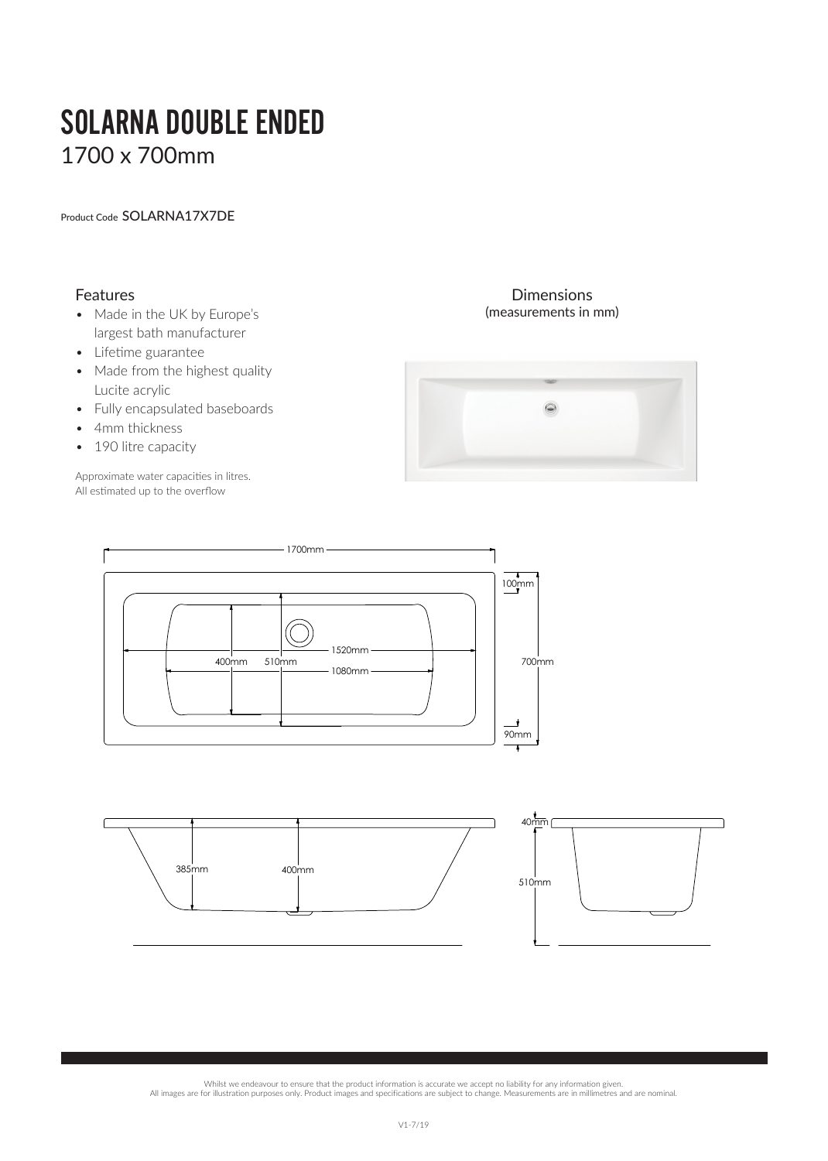# SOLARNA DOUBLE ENDED 1700 x 700mm

Product Code SOLARNA17X7DE

## Features

- Made in the UK by Europe's largest bath manufacturer
- Lifetime guarantee
- Made from the highest quality Lucite acrylic
- Fully encapsulated baseboards
- 4mm thickness
- 190 litre capacity

Approximate water capacities in litres. All estimated up to the overflow

#### Dimensions (measurements in mm)







Whilst we endeavour to ensure that the product information is accurate we accept no liability for any information given.

All images are for illustration purposes only. Product images and specifications are subject to change. Measurements are in millimetres and are nominal.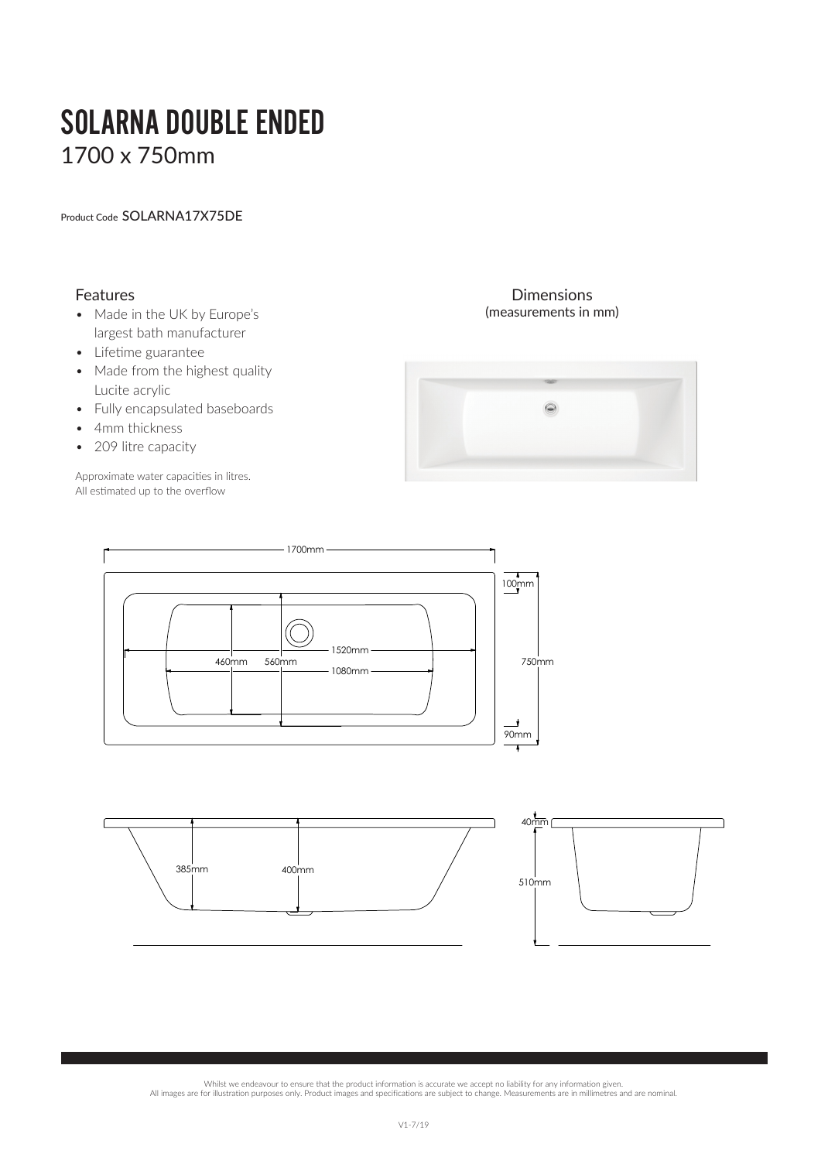# SOLARNA DOUBLE ENDED 1700 x 750mm

Product Code SOLARNA17X75DE

## Features

- Made in the UK by Europe's largest bath manufacturer
- Lifetime guarantee
- Made from the highest quality Lucite acrylic
- Fully encapsulated baseboards
- 4mm thickness
- 209 litre capacity

Approximate water capacities in litres. All estimated up to the overflow

### Dimensions (measurements in mm)







Whilst we endeavour to ensure that the product information is accurate we accept no liability for any information given.

All images are for illustration purposes only. Product images and specifications are subject to change. Measurements are in millimetres and are nominal.